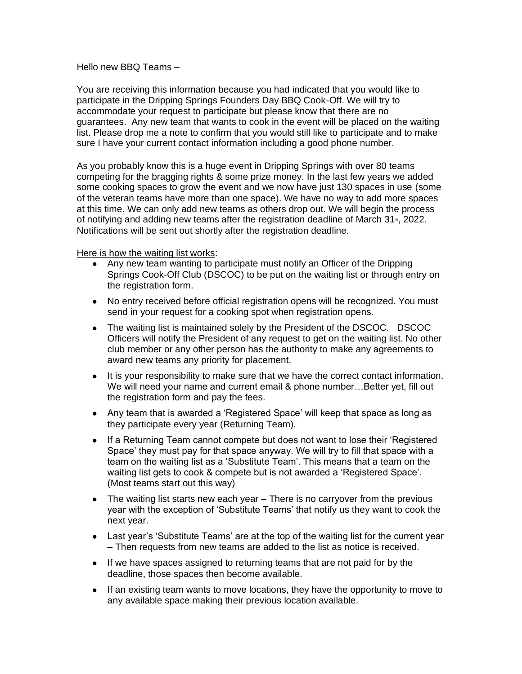## Hello new BBQ Teams –

You are receiving this information because you had indicated that you would like to participate in the Dripping Springs Founders Day BBQ Cook-Off. We will try to accommodate your request to participate but please know that there are no guarantees. Any new team that wants to cook in the event will be placed on the waiting list. Please drop me a note to confirm that you would still like to participate and to make sure I have your current contact information including a good phone number.

As you probably know this is a huge event in Dripping Springs with over 80 teams competing for the bragging rights & some prize money. In the last few years we added some cooking spaces to grow the event and we now have just 130 spaces in use (some of the veteran teams have more than one space). We have no way to add more spaces at this time. We can only add new teams as others drop out. We will begin the process of notifying and adding new teams after the registration deadline of March 31<sup>th</sup>, 2022. Notifications will be sent out shortly after the registration deadline.

Here is how the waiting list works:

- Any new team wanting to participate must notify an Officer of the Dripping Springs Cook-Off Club (DSCOC) to be put on the waiting list or through entry on the registration form.
- No entry received before official registration opens will be recognized. You must send in your request for a cooking spot when registration opens.
- The waiting list is maintained solely by the President of the DSCOC. DSCOC Officers will notify the President of any request to get on the waiting list. No other club member or any other person has the authority to make any agreements to award new teams any priority for placement.
- It is your responsibility to make sure that we have the correct contact information. We will need your name and current email & phone number…Better yet, fill out the registration form and pay the fees.
- Any team that is awarded a 'Registered Space' will keep that space as long as they participate every year (Returning Team).
- If a Returning Team cannot compete but does not want to lose their 'Registered Space' they must pay for that space anyway. We will try to fill that space with a team on the waiting list as a 'Substitute Team'. This means that a team on the waiting list gets to cook & compete but is not awarded a 'Registered Space'. (Most teams start out this way)
- The waiting list starts new each year There is no carryover from the previous year with the exception of 'Substitute Teams' that notify us they want to cook the next year.
- Last year's 'Substitute Teams' are at the top of the waiting list for the current year – Then requests from new teams are added to the list as notice is received.
- If we have spaces assigned to returning teams that are not paid for by the deadline, those spaces then become available.
- If an existing team wants to move locations, they have the opportunity to move to any available space making their previous location available.